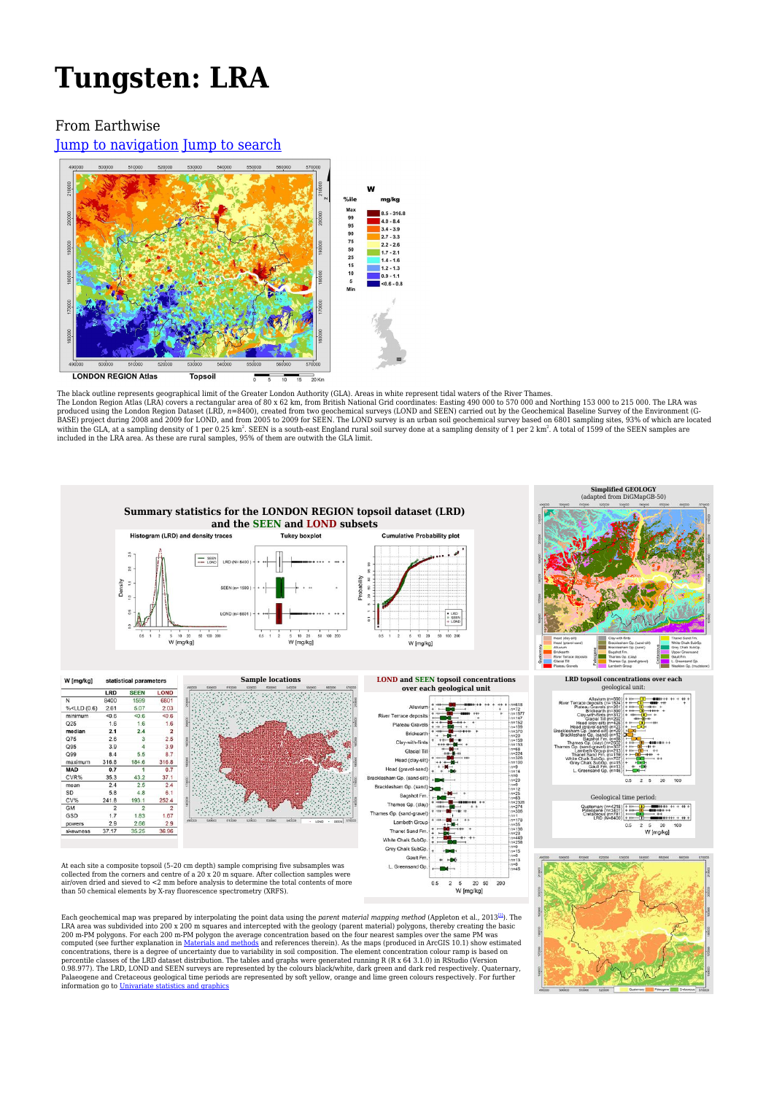# **Tungsten: LRA**

#### From Earthwise

[Jump to navigation](#page--1-0) [Jump to search](#page--1-0)



The black outline represents geographical limit of the Greater London Authority (GLA). Areas in white represent tidal waters of the River Thames.<br>The London Region Atlas (LRA) covers a rectangular area of 80 x 62 km, from within the GLA, at a sampling density of 1 per 0.25 km². SEEN is a south-east England rural soil survey done at a sampling density of 1 per 2 km². A total of 1599 of the SEEN samples are<br>included in the LRA area. As these



computed (see further explanation in [Materials and methods](http://earthwise.bgs.ac.uk/index.php/London_Atlas:_Materials_and_methods_I:_data_acquisition) and references therein). As the maps (produced in ArcGIS 10.1) show estimated<br>concentrations, there is a degree of uncertainty due to variability in soil compositi information go to [Univariate statistics and graphics](http://earthwise.bgs.ac.uk/index.php/London_Atlas:_Materials_and_methods_III:_data_analysis#Univariate_Statistics_and_Graphics)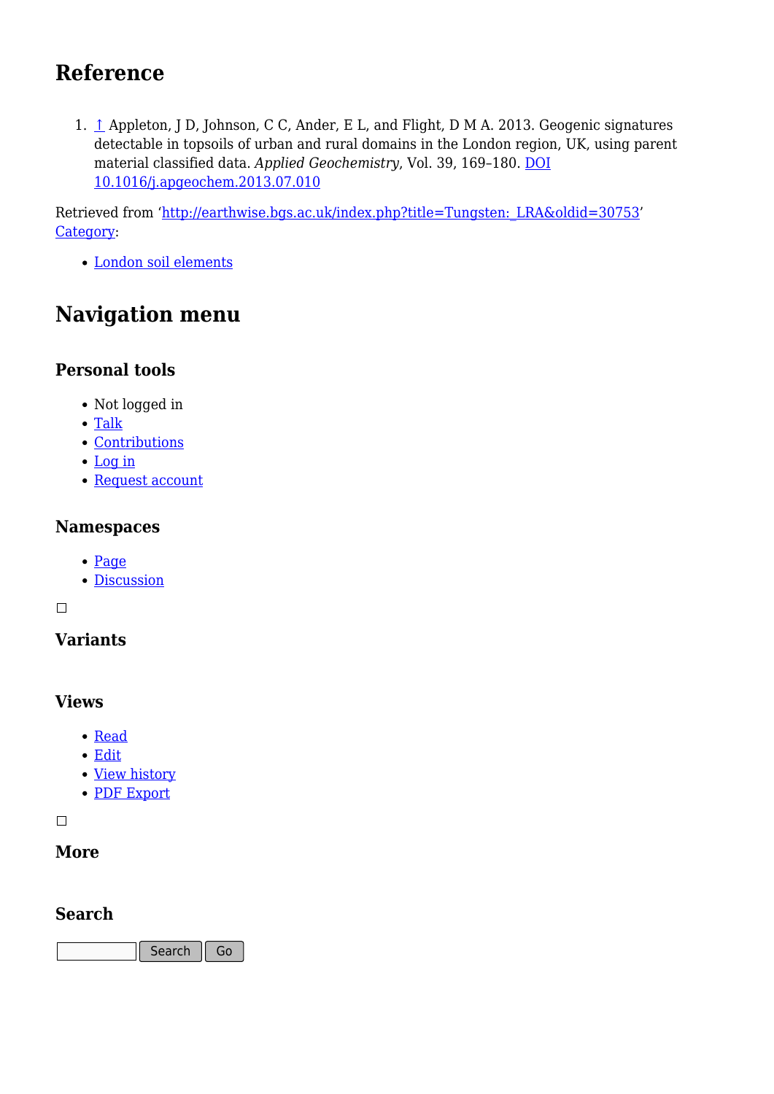# **Reference**

1. [↑](#page--1-0) Appleton, J D, Johnson, C C, Ander, E L, and Flight, D M A. 2013. Geogenic signatures detectable in topsoils of urban and rural domains in the London region, UK, using parent material classified data. *Applied Geochemistry*, Vol. 39, 169–180. [DOI](http://doi.org/10.1016/j.apgeochem.2013.07.010) [10.1016/j.apgeochem.2013.07.010](http://doi.org/10.1016/j.apgeochem.2013.07.010)

Retrieved from 'http://earthwise.bgs.ac.uk/index.php?title=Tungsten: LRA&oldid=30753' [Category](http://earthwise.bgs.ac.uk/index.php/Special:Categories):

[London soil elements](http://earthwise.bgs.ac.uk/index.php/Category:London_soil_elements)

# **Navigation menu**

## **Personal tools**

- Not logged in
- [Talk](http://earthwise.bgs.ac.uk/index.php/Special:MyTalk)
- [Contributions](http://earthwise.bgs.ac.uk/index.php/Special:MyContributions)
- [Log in](http://earthwise.bgs.ac.uk/index.php?title=Special:UserLogin&returnto=Tungsten%3A+LRA&returntoquery=action%3Dmpdf)
- [Request account](http://earthwise.bgs.ac.uk/index.php/Special:RequestAccount)

### **Namespaces**

- [Page](http://earthwise.bgs.ac.uk/index.php/Tungsten:_LRA)
- [Discussion](http://earthwise.bgs.ac.uk/index.php?title=Talk:Tungsten:_LRA&action=edit&redlink=1)

 $\Box$ 

# **Variants**

### **Views**

- [Read](http://earthwise.bgs.ac.uk/index.php/Tungsten:_LRA)
- [Edit](http://earthwise.bgs.ac.uk/index.php?title=Tungsten:_LRA&action=edit)
- [View history](http://earthwise.bgs.ac.uk/index.php?title=Tungsten:_LRA&action=history)
- [PDF Export](http://earthwise.bgs.ac.uk/index.php?title=Tungsten:_LRA&action=mpdf)

 $\Box$ 

#### **More**

### **Search**

Search Go